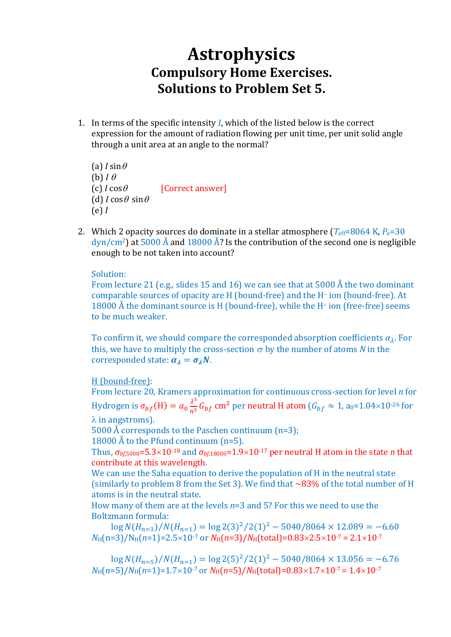## **Astrophysics Compulsory Home Exercises. Solutions to Problem Set 5.**

1. In terms of the specific intensity *I*, which of the listed below is the correct expression for the amount of radiation flowing per unit time, per unit solid angle through a unit area at an angle to the normal?

(a)  $I \sin \theta$ (b)  $I \theta$  $(c)$  *I* cos $\theta$  [Correct answer] (d)  $I \cos \theta \sin \theta$ (e) *I*

2. Which 2 opacity sources do dominate in a stellar atmosphere  $(T_{\text{eff}}=8064 \text{ K}, P_{\text{e}}=30$  $\frac{dyn/cm^2}{at}$  at 5000 Å and 18000 Å? Is the contribution of the second one is negligible enough to be not taken into account?

Solution:

From lecture 21 (e.g., slides 15 and 16) we can see that at 5000 Å the two dominant comparable sources of opacity are H (bound-free) and the H– ion (bound-free). At 18000 Å the dominant source is H (bound-free), while the H<sup>-</sup> ion (free-free) seems to be much weaker.

To confirm it, we should compare the corresponded absorption coefficients  $\alpha_{\lambda}$ . For this, we have to multiply the cross-section  $\sigma$  by the number of atoms *N* in the corresponded state:  $\alpha_{\lambda} = \sigma_{\lambda} N$ .

H (bound-free):

From lecture 20, Kramers approximation for continuous cross-section for level *n* for Hydrogen is  $\sigma_{bf}(H) = a_0 \frac{\lambda^3}{n^5} G_{bf}$  cm<sup>2</sup> per neutral H atom ( $G_{bf} \approx 1$ , a<sub>0</sub>=1.04×10<sup>-26</sup> for  $\lambda$  in angstroms).

5000 Å corresponds to the Paschen continuum (n=3);

18000 Å to the Pfund continuum (n=5).

Thus,  $\sigma_{hfs000}$ =5.3×10<sup>-18</sup> and  $\sigma_{hfs000}$ =1.9×10<sup>-17</sup> per neutral H atom in the state *n* that contribute at this wavelength.

We can use the Saha equation to derive the population of H in the neutral state (similarly to problem 8 from the Set 3). We find that  $\sim$ 83% of the total number of H atoms is in the neutral state.

How many of them are at the levels *n*=3 and 5? For this we need to use the Boltzmann formula:

 $\log N(H_{n=3})/N(H_{n=1}) = \log 2(3)^2/2(1)^2 - 5040/8064 \times 12.089 = -6.60$  $N_{\text{H}}(n=3)/N_{\text{H}}(n=1)=2.5\times10^{-7}$  or  $N_{\text{H}}(n=3)/N_{\text{H}}(\text{total})=0.83\times2.5\times10^{-7}=2.1\times10^{-7}$ 

 $\log N(H_{n=5})/N(H_{n=1}) = \log 2(5)^2/2(1)^2 - 5040/8064 \times 13.056 = -6.76$  $N_H(n=5)/N_H(n=1)=1.7\times10^{-7}$  or  $N_H(n=5)/N_H(\text{total})=0.83\times1.7\times10^{-7} = 1.4\times10^{-7}$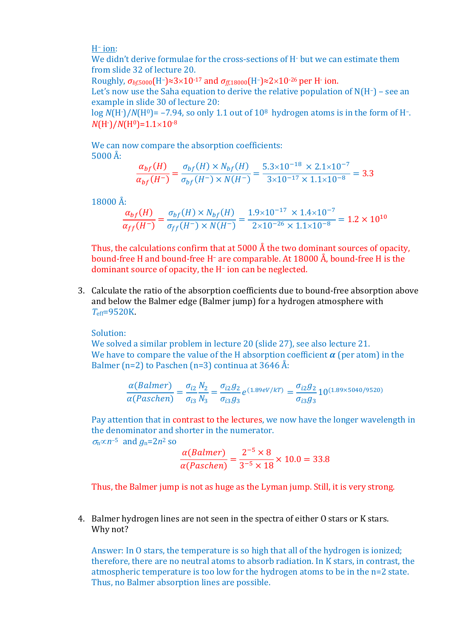H– ion:

We didn't derive formulae for the cross-sections of H<sup>-</sup> but we can estimate them from slide 32 of lecture 20.

Roughly, *σbf*,5000(H–)≈310-17 and *σff*,18000(H–)≈210-26 per H-ion.

Let's now use the Saha equation to derive the relative population of N(H-) - see an example in slide 30 of lecture 20:

 $log N(H<sup>3</sup>)/N(H<sup>0</sup>) = -7.94$ , so only 1.1 out of 10<sup>8</sup> hydrogen atoms is in the form of H-.  $N(H^{-})/N(H^{0})=1.1\times10^{-8}$ 

We can now compare the absorption coefficients:  $5000 \text{ Å}$ 

$$
\frac{\alpha_{bf}(H)}{\alpha_{bf}(H^-)} = \frac{\sigma_{bf}(H) \times N_{bf}(H)}{\sigma_{bf}(H^-) \times N(H^-)} = \frac{5.3 \times 10^{-18} \times 2.1 \times 10^{-7}}{3 \times 10^{-17} \times 1.1 \times 10^{-8}} = 3.3
$$

 $18000 \text{ Å}$ 

$$
\frac{\alpha_{bf}(H)}{\alpha_{ff}(H^-)} = \frac{\sigma_{bf}(H) \times N_{bf}(H)}{\sigma_{ff}(H^-) \times N(H^-)} = \frac{1.9 \times 10^{-17} \times 1.4 \times 10^{-7}}{2 \times 10^{-26} \times 1.1 \times 10^{-8}} = 1.2 \times 10^{10}
$$

Thus, the calculations confirm that at 5000  $\AA$  the two dominant sources of opacity, bound-free H and bound-free H– are comparable. At 18000 Å, bound-free H is the dominant source of opacity, the H– ion can be neglected.

3. Calculate the ratio of the absorption coefficients due to bound-free absorption above and below the Balmer edge (Balmer jump) for a hydrogen atmosphere with *T*eff=9520K.

Solution:

We solved a similar problem in lecture 20 (slide 27), see also lecture 21. We have to compare the value of the H absorption coefficient  $\alpha$  (per atom) in the Balmer (n=2) to Paschen (n=3) continua at  $3646 \text{ Å}$ :

$$
\frac{\alpha(Balmer)}{\alpha(Paschen)} = \frac{\sigma_{i2} N_2}{\sigma_{i3} N_3} = \frac{\sigma_{i2} g_2}{\sigma_{i3} g_3} e^{(1.89 \text{eV}/kT)} = \frac{\sigma_{i2} g_2}{\sigma_{i3} g_3} 10^{(1.89 \times 5040/9520)}
$$

Pay attention that in contrast to the lectures, we now have the longer wavelength in the denominator and shorter in the numerator.  $\sigma_n \propto n^{-5}$  and  $g_n = 2n^2$  so

> $\alpha(Balmer)$  $\alpha(Paschen)$ =  $2^{-5} \times 8$  $\frac{1}{3^{-5} \times 18} \times 10.0 = 33.8$

Thus, the Balmer jump is not as huge as the Lyman jump. Still, it is very strong.

4. Balmer hydrogen lines are not seen in the spectra of either O stars or K stars. Why not?

Answer: In O stars, the temperature is so high that all of the hydrogen is ionized; therefore, there are no neutral atoms to absorb radiation. In K stars, in contrast, the atmospheric temperature is too low for the hydrogen atoms to be in the n=2 state. Thus, no Balmer absorption lines are possible.